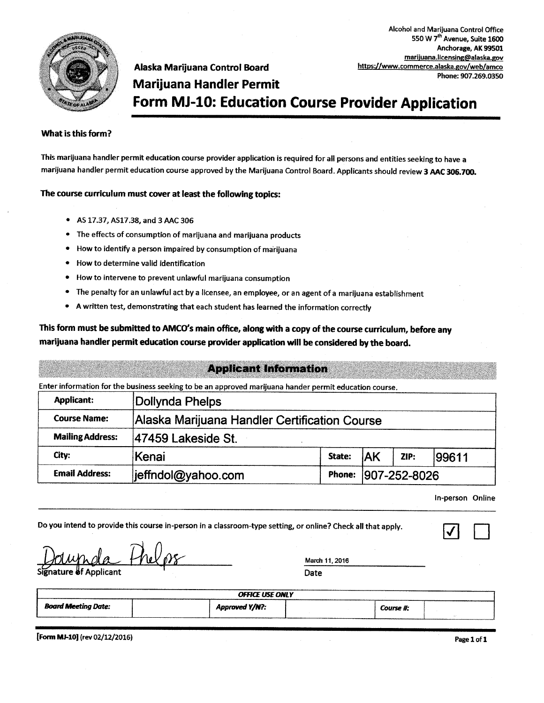

marijuana.licensing@alaska.gov Alaska Marijuana Control Board https://www.commerce.alaska.gov/web/amco Phone: 907.269.0350 **Marijuana Handler Permit** Form MJ-10: Education Course Provider Application

#### What is this form?

This marijuana handler permit education course provider application is required for all persons and entities seeking to have a marijuana handler permit education course approved by the Marijuana Control Board. Applicants should review 3 AAC 306.700.

#### The course curriculum must cover at least the following topics:

- AS 17.37, AS17.38, and 3 AAC 306
- The effects of consumption of marijuana and marijuana products
- How to identify a person impaired by consumption of marijuana
- How to determine valid identification
- How to intervene to prevent unlawful marijuana consumption
- The penalty for an unlawful act by a licensee, an employee, or an agent of a marijuana establishment
- A written test, demonstrating that each student has learned the information correctly

#### This form must be submitted to AMCO's main office, along with a copy of the course curriculum, before any marijuana handler permit education course provider application will be considered by the board.

#### **Applicant Information**

Enter information for the business seeking to be an approved marijuana hander permit education course.

| <b>Applicant:</b>       | Dollynda Phelps                               |        |              |      |       |  |
|-------------------------|-----------------------------------------------|--------|--------------|------|-------|--|
| <b>Course Name:</b>     | Alaska Marijuana Handler Certification Course |        |              |      |       |  |
| <b>Mailing Address:</b> | 47459 Lakeside St.                            |        |              |      |       |  |
| City:                   | Kenai                                         | State: | <b>JAK</b>   | ZIP: | 99611 |  |
| <b>Email Address:</b>   | jeffndol@yahoo.com                            | Phone: | 907-252-8026 |      |       |  |

In-person Online

Alcohol and Marijuana Control Office 550 W 7<sup>th</sup> Avenue, Suite 1600 Anchorage, AK 99501

| Do you intend to provide this course in-person in a classroom-type setting, or online? Check all that apply. |                        |                |  |  |
|--------------------------------------------------------------------------------------------------------------|------------------------|----------------|--|--|
| Dolumpla thelps                                                                                              |                        | March 11, 2016 |  |  |
|                                                                                                              |                        | Date           |  |  |
|                                                                                                              | <b>OFFICE USE ONLY</b> |                |  |  |
| <b>Board Meeting Date:</b>                                                                                   | Approved Y/N?:         | Course #:      |  |  |

[Form MJ-10] (rev 02/12/2016)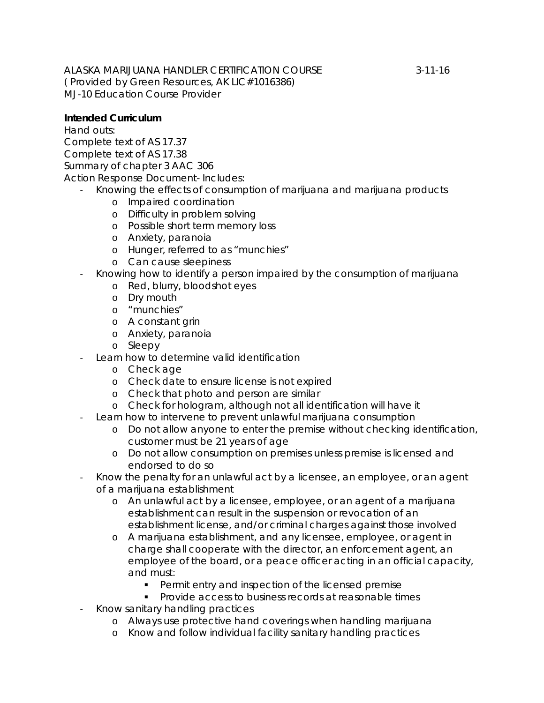ALASKA MARIJUANA HANDLER CERTIFICATION COURSE 3-11-16 ( Provided by Green Resources, AK LIC#1016386) MJ-10 Education Course Provider

#### **Intended Curriculum**

*Hand outs:* Complete text of AS 17.37 Complete text of AS 17.38 Summary of chapter 3 AAC 306 Action Response Document- Includes:

- Knowing the effects of consumption of marijuana and marijuana products
	- o Impaired coordination
	- o Difficulty in problem solving
	- o Possible short term memory loss
	- o Anxiety, paranoia
	- o Hunger, referred to as "munchies"
	- o Can cause sleepiness
- Knowing how to identify a person impaired by the consumption of marijuana
	- o Red, blurry, bloodshot eyes
	- o Dry mouth
	- o "munchies"
	- o A constant grin
	- o Anxiety, paranoia
	- o Sleepy
- Learn how to determine valid identification
	- o Check age
	- o Check date to ensure license is not expired
	- o Check that photo and person are similar
	- o Check for hologram, although not all identification will have it
- Learn how to intervene to prevent unlawful marijuana consumption
	- o Do not allow anyone to enter the premise without checking identification, customer must be 21 years of age
	- o Do not allow consumption on premises unless premise is licensed and endorsed to do so
- Know the penalty for an unlawful act by a licensee, an employee, or an agent of a marijuana establishment
	- o An unlawful act by a licensee, employee, or an agent of a marijuana establishment can result in the suspension or revocation of an establishment license, and/or criminal charges against those involved
	- o A marijuana establishment, and any licensee, employee, or agent in charge shall cooperate with the director, an enforcement agent, an employee of the board, or a peace officer acting in an official capacity, and must:
		- **Permit entry and inspection of the licensed premise**
		- **Provide access to business records at reasonable times**
- Know sanitary handling practices
	- o Always use protective hand coverings when handling marijuana
	- o Know and follow individual facility sanitary handling practices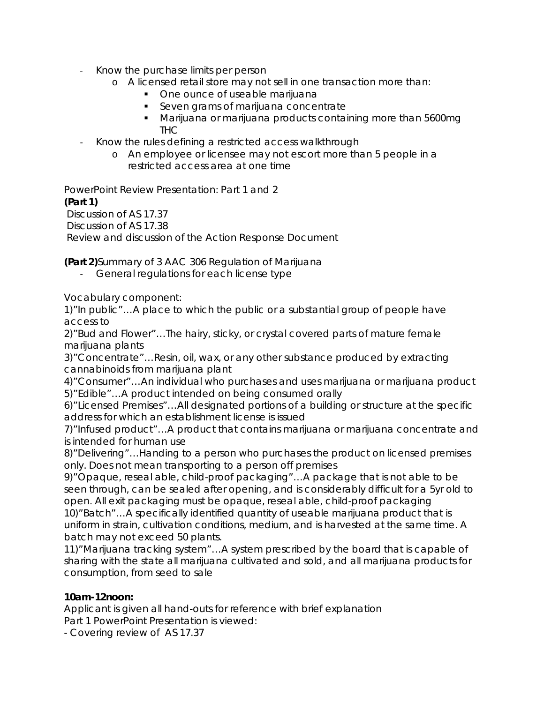- Know the purchase limits per person
	- o A licensed retail store may not sell in one transaction more than:
		- One ounce of useable marijuana
		- Seven grams of marijuana concentrate
		- Marijuana or marijuana products containing more than 5600mg THC
- Know the rules defining a restricted access walkthrough
	- o An employee or licensee may not escort more than 5 people in a restricted access area at one time

*PowerPoint Review Presentation: Part 1 and 2* **(Part 1)** Discussion of AS 17.37 Discussion of AS 17.38 Review and discussion of the Action Response Document

**(Part 2)**Summary of 3 AAC 306 Regulation of Marijuana

- General regulations for each license type

Vocabulary component:

1)"In public"…A place to which the public or a substantial group of people have access to

2)"Bud and Flower"…The hairy, sticky, or crystal covered parts of mature female marijuana plants

3)"Concentrate"…Resin, oil, wax, or any other substance produced by extracting cannabinoids from marijuana plant

4)"Consumer"…An individual who purchases and uses marijuana or marijuana product 5)"Edible"…A product intended on being consumed orally

6)"Licensed Premises"…All designated portions of a building or structure at the specific address for which an establishment license is issued

7)"Infused product"…A product that contains marijuana or marijuana concentrate and is intended for human use

8)"Delivering"…Handing to a person who purchases the product on licensed premises only. Does not mean transporting to a person off premises

9)"Opaque, reseal able, child-proof packaging"…A package that is not able to be seen through, can be sealed after opening, and is considerably difficult for a 5yr old to open. All exit packaging must be opaque, reseal able, child-proof packaging

10)"Batch"…A specifically identified quantity of useable marijuana product that is uniform in strain, cultivation conditions, medium, and is harvested at the same time. A batch may not exceed 50 plants.

11)"Marijuana tracking system"…A system prescribed by the board that is capable of sharing with the state all marijuana cultivated and sold, and all marijuana products for consumption, from seed to sale

#### **10am-12noon:**

Applicant is given all hand-outs for reference with brief explanation Part 1 PowerPoint Presentation is viewed:

- Covering review of AS 17.37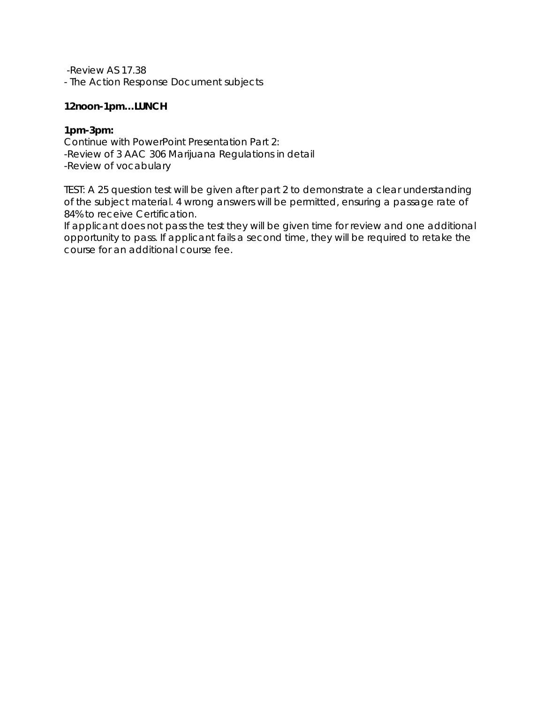-Review AS 17.38

- The Action Response Document subjects

#### **12noon-1pm…LUNCH**

#### **1pm-3pm:**

Continue with PowerPoint Presentation Part 2: -Review of 3 AAC 306 Marijuana Regulations in detail -Review of vocabulary

TEST: A 25 question test will be given after part 2 to demonstrate a clear understanding of the subject material. 4 wrong answers will be permitted, ensuring a passage rate of 84% to receive Certification.

If applicant does not pass the test they will be given time for review and one additional opportunity to pass. If applicant fails a second time, they will be required to retake the course for an additional course fee.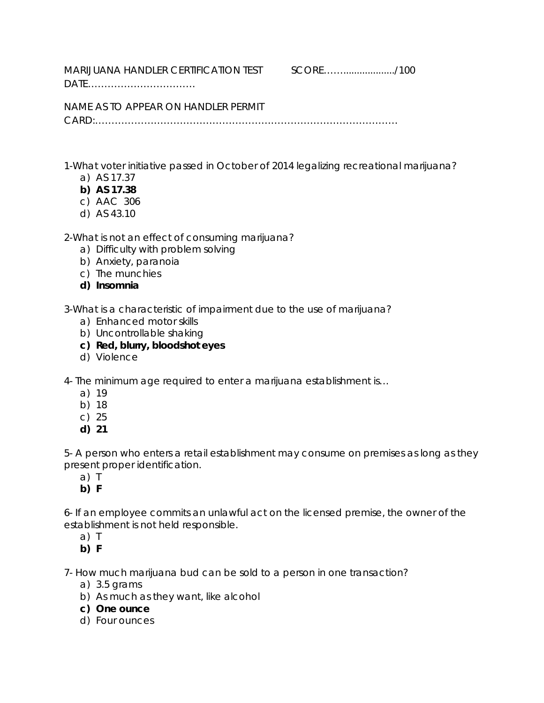MARIJUANA HANDLER CERTIFICATION TEST SCORE…….................../100

DATE……………………………

NAME AS TO APPEAR ON HANDLER PERMIT CARD:…………………………………………………………………………………

1-What voter initiative passed in October of 2014 legalizing recreational marijuana?

- a) AS 17.37
- **b) AS 17.38**
- c) AAC 306
- d) AS 43.10

2-What is not an effect of consuming marijuana?

- a) Difficulty with problem solving
- b) Anxiety, paranoia
- c) The munchies
- **d) Insomnia**

3-What is a characteristic of impairment due to the use of marijuana?

- a) Enhanced motor skills
- b) Uncontrollable shaking
- **c) Red, blurry, bloodshot eyes**
- d) Violence

4- The minimum age required to enter a marijuana establishment is…

- a) 19
- b) 18
- c) 25
- **d) 21**

5- A person who enters a retail establishment may consume on premises as long as they present proper identification.

- a) T
- **b) F**

6- If an employee commits an unlawful act on the licensed premise, the owner of the establishment is not held responsible.

a) T

**b) F**

7- How much marijuana bud can be sold to a person in one transaction?

- a) 3.5 grams
- b) As much as they want, like alcohol
- **c) One ounce**
- d) Four ounces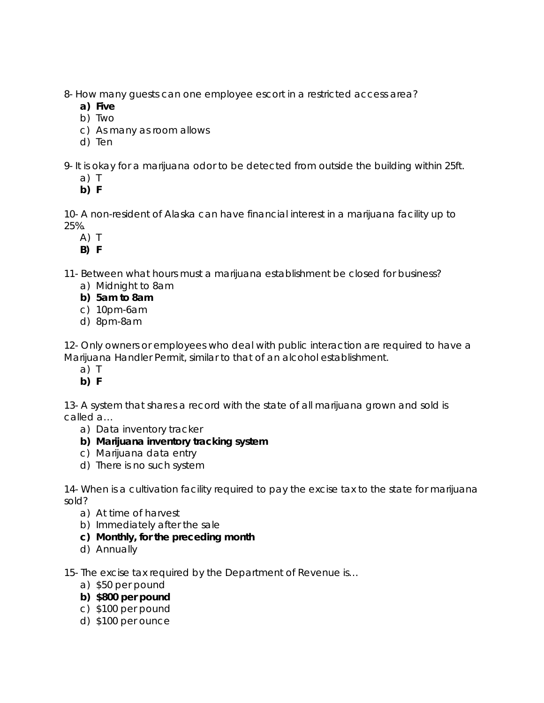8- How many guests can one employee escort in a restricted access area?

- **a) Five**
- b) Two
- c) As many as room allows
- d) Ten

9- It is okay for a marijuana odor to be detected from outside the building within 25ft.

- a) T
- **b) F**

10- A non-resident of Alaska can have financial interest in a marijuana facility up to 25%.

- A) T
- **B) F**

11- Between what hours must a marijuana establishment be closed for business?

- a) Midnight to 8am
- **b) 5am to 8am**
- c) 10pm-6am
- d) 8pm-8am

12- Only owners or employees who deal with public interaction are required to have a Marijuana Handler Permit, similar to that of an alcohol establishment.

- a) T
- **b) F**

13- A system that shares a record with the state of all marijuana grown and sold is called a…

- a) Data inventory tracker
- **b) Marijuana inventory tracking system**
- c) Marijuana data entry
- d) There is no such system

14- When is a cultivation facility required to pay the excise tax to the state for marijuana sold?

- a) At time of harvest
- b) Immediately after the sale
- **c) Monthly, for the preceding month**
- d) Annually

15- The excise tax required by the Department of Revenue is…

- a) \$50 per pound
- **b) \$800 per pound**
- c) \$100 per pound
- d) \$100 per ounce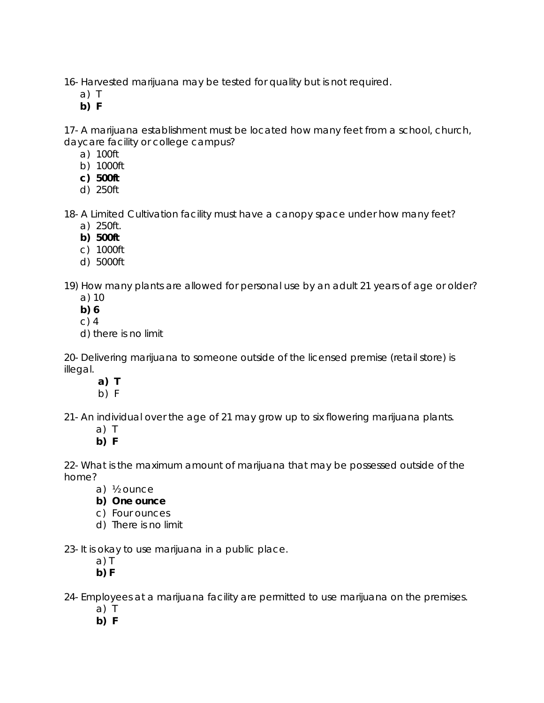16- Harvested marijuana may be tested for quality but is not required.

- a) T
- **b) F**

17- A marijuana establishment must be located how many feet from a school, church, daycare facility or college campus?

- a) 100ft
- b) 1000ft
- **c) 500ft**
- d) 250ft

18- A Limited Cultivation facility must have a canopy space under how many feet?

- a) 250ft.
- **b) 500ft**
- c) 1000ft
- d) 5000ft

19) How many plants are allowed for personal use by an adult 21 years of age or older? a) 10

- **b) 6**
- c) 4
- d) there is no limit

20- Delivering marijuana to someone outside of the licensed premise (retail store) is illegal.

- **a) T**
- b) F

21- An individual over the age of 21 may grow up to six flowering marijuana plants.

- a) T
- **b) F**

22- What is the maximum amount of marijuana that may be possessed outside of the home?

- a) ½ ounce
- **b) One ounce**
- c) Four ounces
- d) There is no limit

23- It is okay to use marijuana in a public place.

- a) T
- **b) F**

24- Employees at a marijuana facility are permitted to use marijuana on the premises.

- a) T
- **b) F**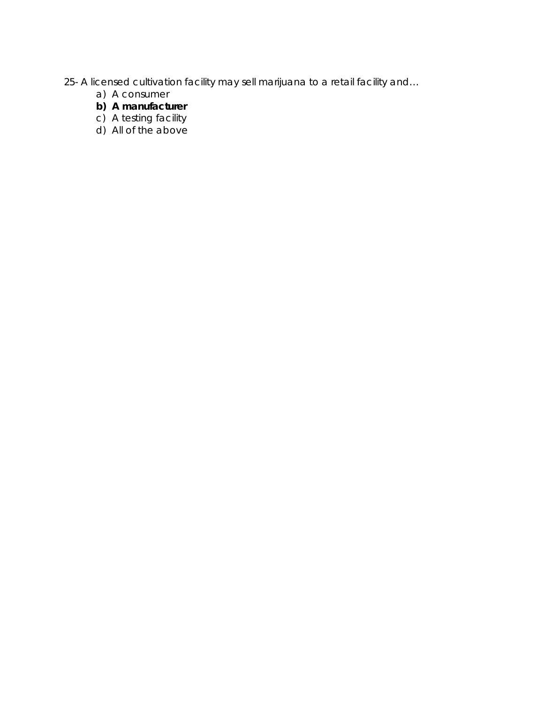- 25- A licensed cultivation facility may sell marijuana to a retail facility and…
	- a) A consumer
	- **b) A manufacturer**
	- c) A testing facility
	- d) All of the above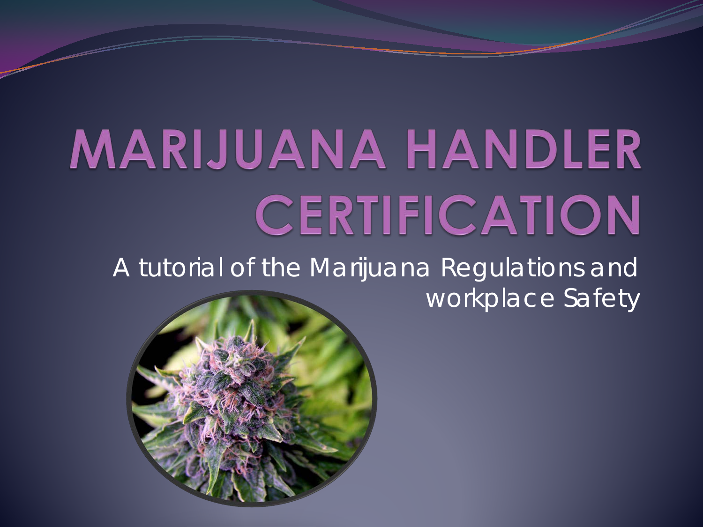# **MARIJUANA HANDLER** CERTIFICATION

A tutorial of the Marijuana Regulations and workplace Safety

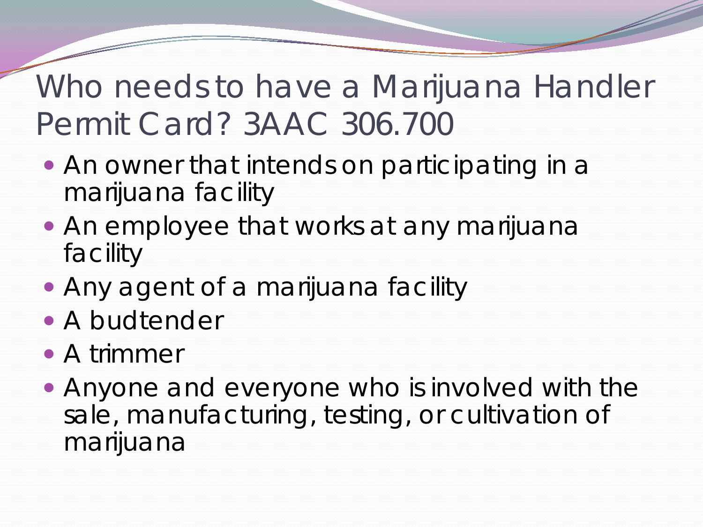Who needs to have a Marijuana Handler Permit Card? 3AAC 306.700

- An owner that intends on participating in a marijuana facility
- An employee that works at any marijuana facility
- Any agent of a marijuana facility
- A budtender
- A trimmer
- Anyone and everyone who is involved with the sale, manufacturing, testing, or cultivation of marijuana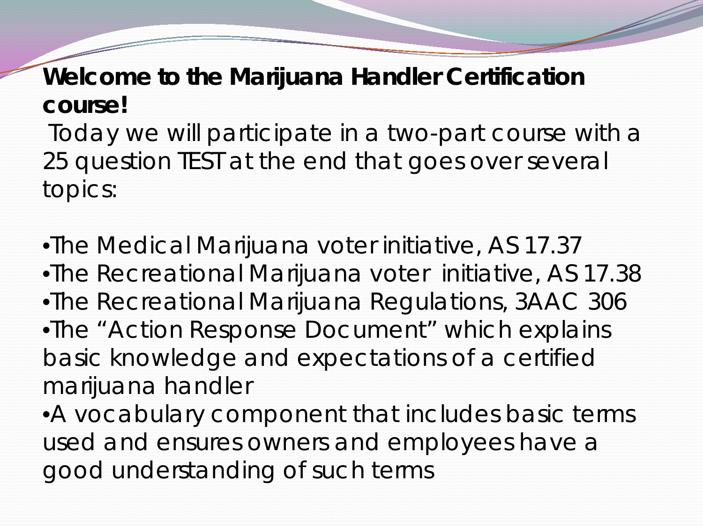#### **Welcome to the Marijuana Handler Certification course!**

Today we will participate in a two-part course with a 25 question TEST at the end that goes over several topics:

•The Medical Marijuana voter initiative, AS 17.37 •The Recreational Marijuana voter initiative, AS 17.38 •The Recreational Marijuana Regulations, 3AAC 306 •The "Action Response Document" which explains basic knowledge and expectations of a certified marijuana handler

•A vocabulary component that includes basic terms used and ensures owners and employees have a good understanding of such terms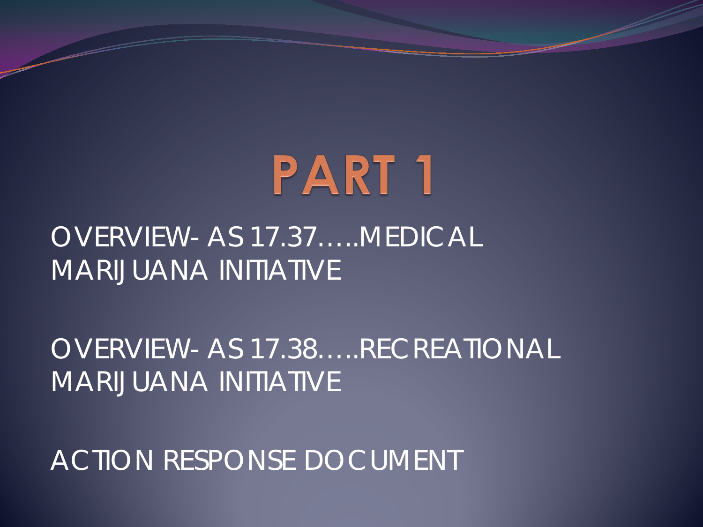# **PART 1**

#### OVERVIEW- AS 17.37…..MEDICAL MARIJUANA INITIATIVE

OVERVIEW- AS 17.38…..RECREATIONAL MARIJUANA INITIATIVE

ACTION RESPONSE DOCUMENT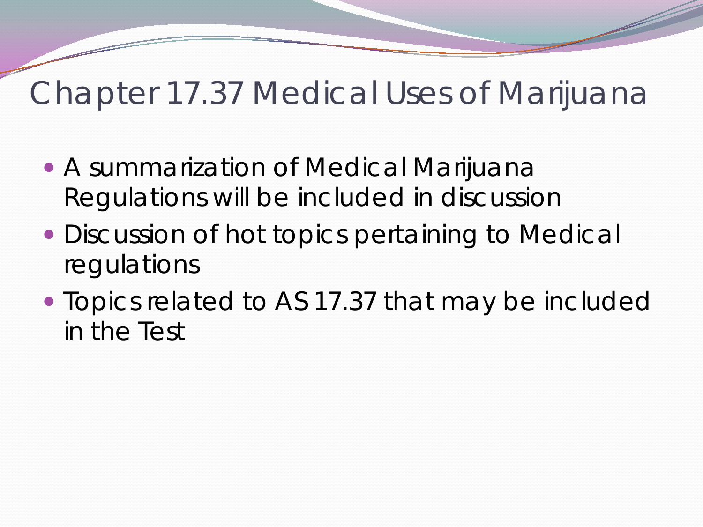### Chapter 17.37 Medical Uses of Marijuana

- A summarization of Medical Marijuana Regulations will be included in discussion
- Discussion of hot topics pertaining to Medical regulations
- Topics related to AS 17.37 that may be included in the Test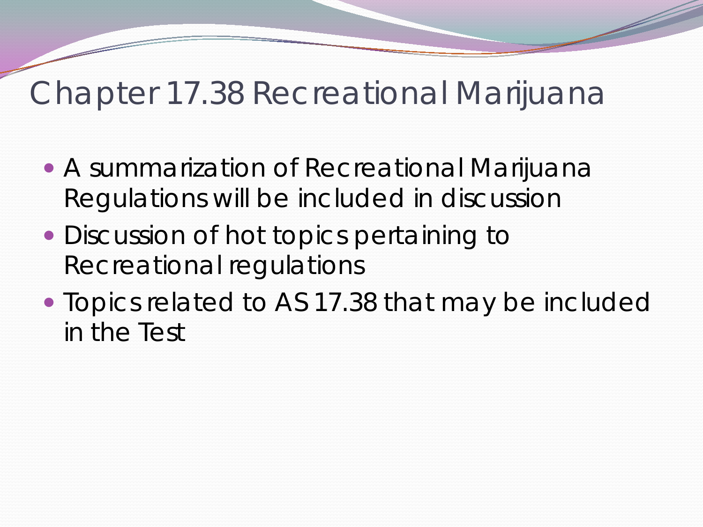### Chapter 17.38 Recreational Marijuana

- A summarization of Recreational Marijuana Regulations will be included in discussion
- Discussion of hot topics pertaining to Recreational regulations
- Topics related to AS 17.38 that may be included in the Test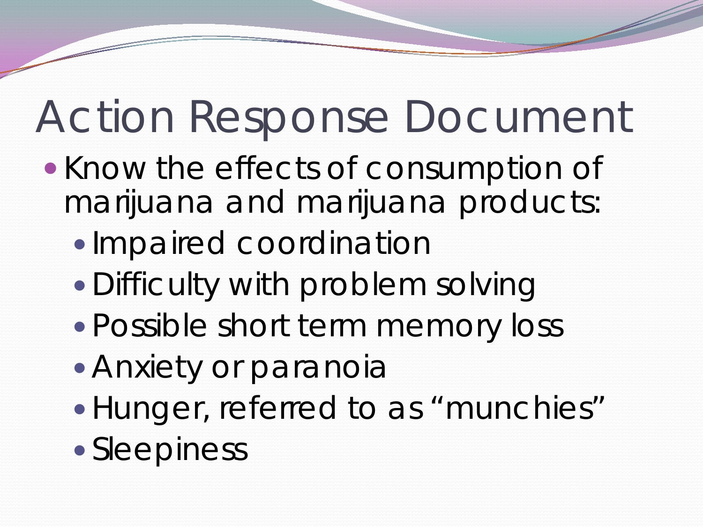- Know the effects of consumption of marijuana and marijuana products:
	- Impaired coordination
	- Difficulty with problem solving
	- Possible short term memory loss
	- Anxiety or paranoia
	- Hunger, referred to as "munchies"
	- Sleepiness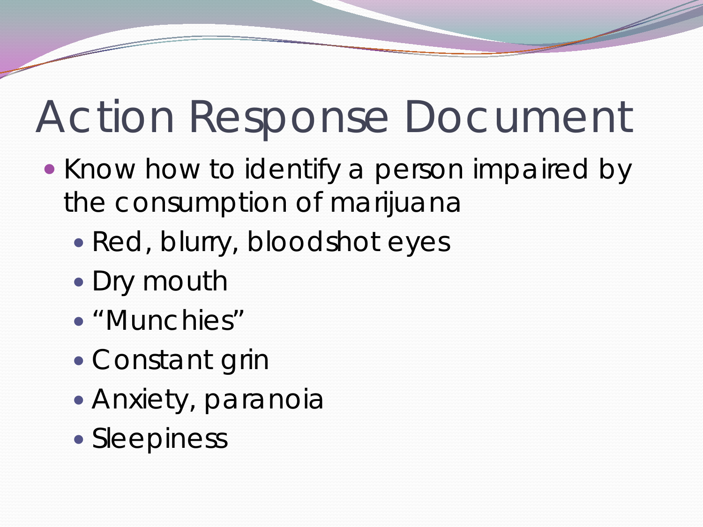- Know how to identify a person impaired by the consumption of marijuana
	- Red, blurry, bloodshot eyes
	- Dry mouth
	- "Munchies"
	- Constant grin
	- Anxiety, paranoia
	- Sleepiness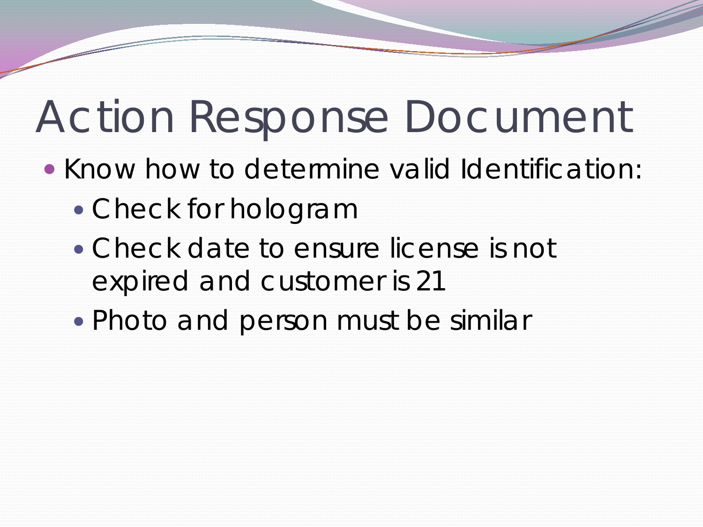- Know how to determine valid Identification:
	- Check for hologram
	- Check date to ensure license is not expired and customer is 21
	- Photo and person must be similar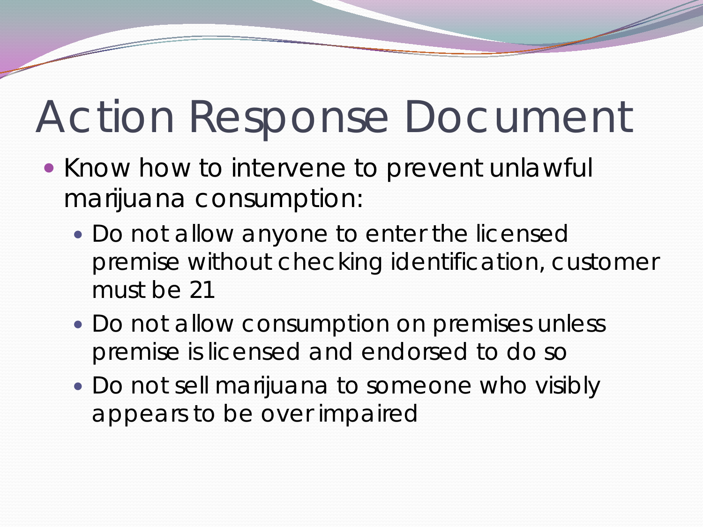- Know how to intervene to prevent unlawful marijuana consumption:
	- Do not allow anyone to enter the licensed premise without checking identification, customer must be 21
	- Do not allow consumption on premises unless premise is licensed and endorsed to do so
	- Do not sell marijuana to someone who visibly appears to be over impaired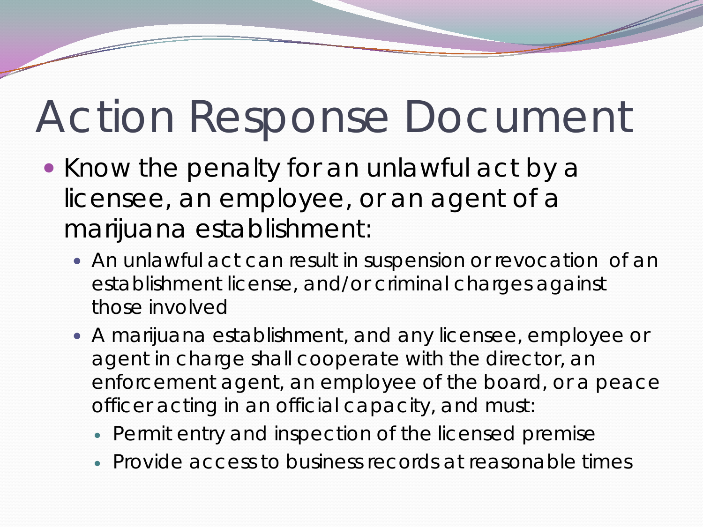- Know the penalty for an unlawful act by a licensee, an employee, or an agent of a marijuana establishment:
	- An unlawful act can result in suspension or revocation of an establishment license, and/or criminal charges against those involved
	- A marijuana establishment, and any licensee, employee or agent in charge shall cooperate with the director, an enforcement agent, an employee of the board, or a peace officer acting in an official capacity, and must:
		- Permit entry and inspection of the licensed premise
		- Provide access to business records at reasonable times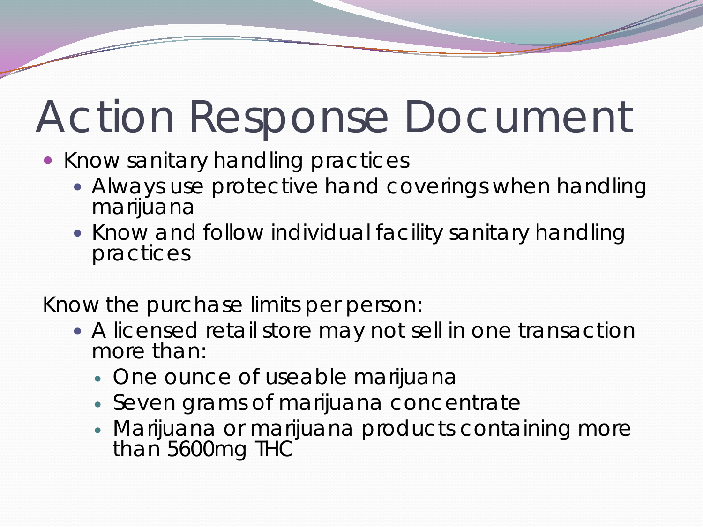- Know sanitary handling practices
	- Always use protective hand coverings when handling marijuana
	- Know and follow individual facility sanitary handling practices

Know the purchase limits per person:

- A licensed retail store may not sell in one transaction more than:
	- One ounce of useable marijuana
	- Seven grams of marijuana concentrate
	- Marijuana or marijuana products containing more than 5600mg THC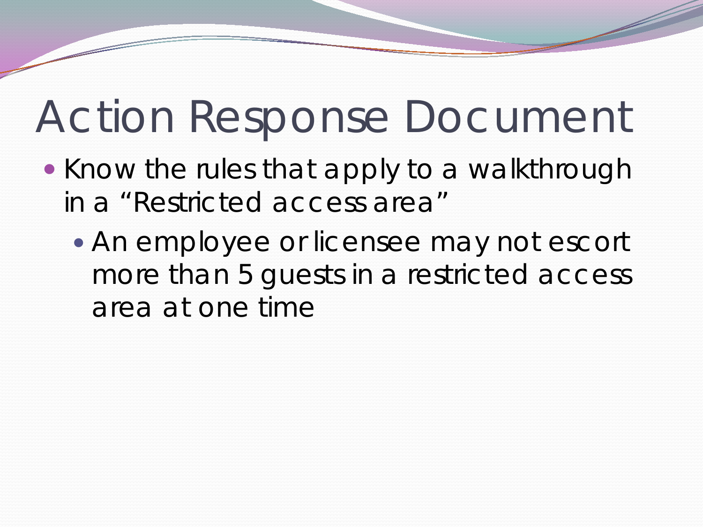- Know the rules that apply to a walkthrough in a "Restricted access area"
	- An employee or licensee may not escort more than 5 guests in a restricted access area at one time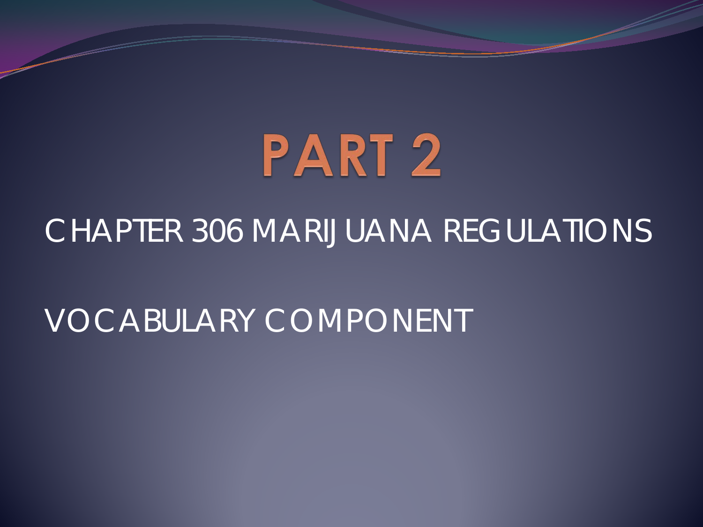

#### CHAPTER 306 MARIJUANA REGULATIONS

### VOCABULARY COMPONENT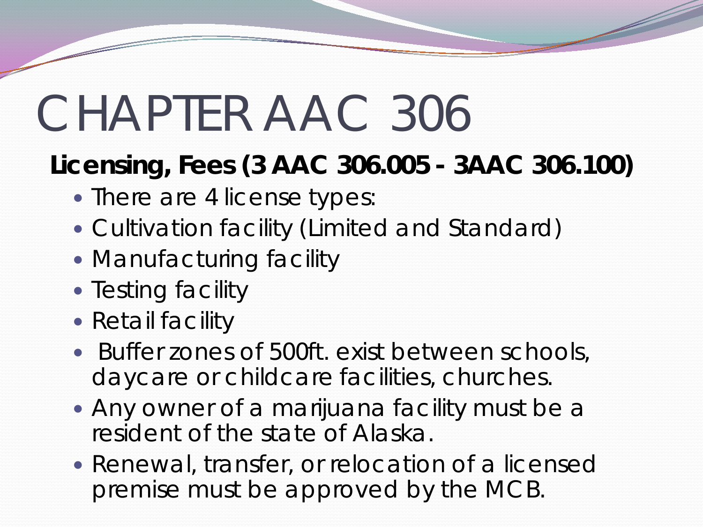#### **Licensing, Fees (3 AAC 306.005 - 3AAC 306.100)**

- There are 4 license types:
- Cultivation facility (Limited and Standard)
- Manufacturing facility
- Testing facility
- Retail facility
- Buffer zones of 500ft. exist between schools, daycare or childcare facilities, churches.
- Any owner of a marijuana facility must be a resident of the state of Alaska.
- Renewal, transfer, or relocation of a licensed premise must be approved by the MCB.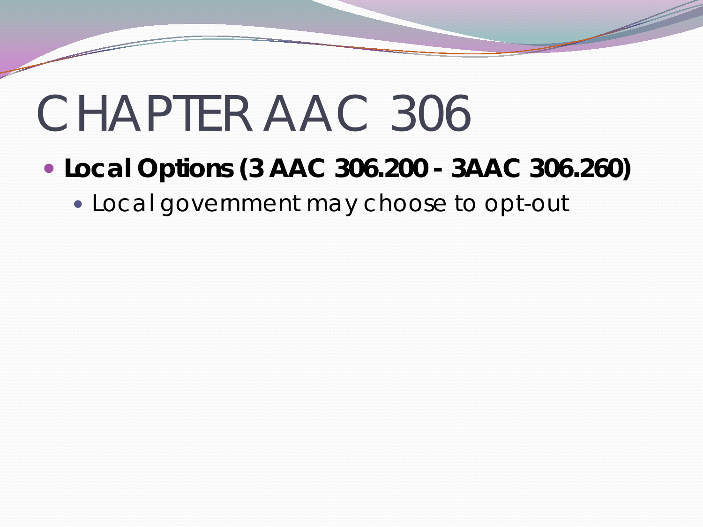- **Local Options (3 AAC 306.200 - 3AAC 306.260)** 
	- Local government may choose to opt-out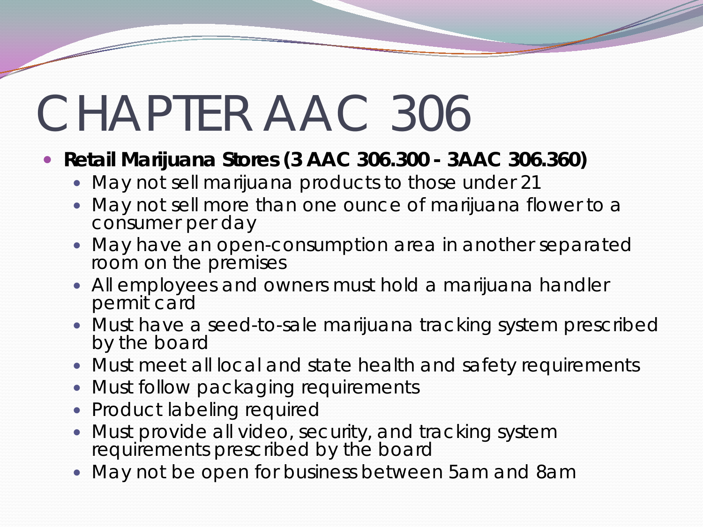#### **Retail Marijuana Stores (3 AAC 306.300 - 3AAC 306.360)**

- May not sell marijuana products to those under 21
- May not sell more than one ounce of marijuana flower to a consumer per day
- May have an open-consumption area in another separated room on the premises
- All employees and owners must hold a marijuana handler permit card
- Must have a seed-to-sale marijuana tracking system prescribed by the board
- Must meet all local and state health and safety requirements
- Must follow packaging requirements
- Product labeling required
- Must provide all video, security, and tracking system requirements prescribed by the board
- May not be open for business between 5am and 8am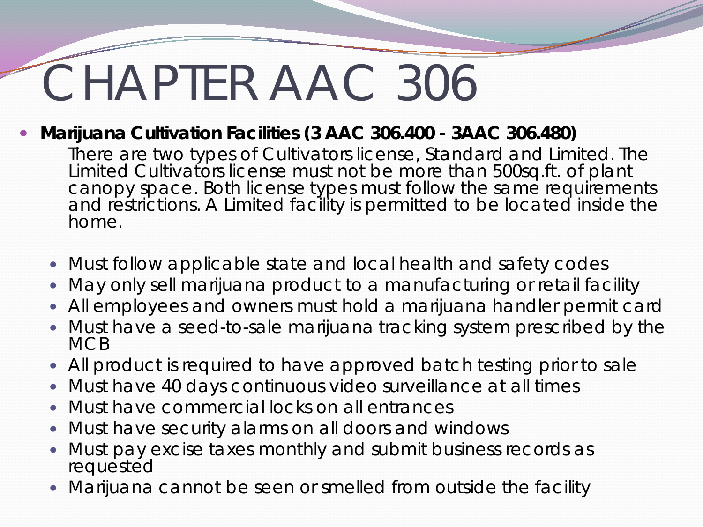**Marijuana Cultivation Facilities (3 AAC 306.400 - 3AAC 306.480)** 

There are two types of Cultivators license, Standard and Limited. The Limited Cultivators license must not be more than 500sq.ft. of plant canopy space. Both license types must follow the same requirements and restrictions. A Limited facility is permitted to be located inside the home.

- Must follow applicable state and local health and safety codes
- May only sell marijuana product to a manufacturing or retail facility
- All employees and owners must hold a marijuana handler permit card
- Must have a seed-to-sale marijuana tracking system prescribed by the **MCB**
- All product is required to have approved batch testing prior to sale
- Must have 40 days continuous video surveillance at all times
- Must have commercial locks on all entrances
- Must have security alarms on all doors and windows
- Must pay excise taxes monthly and submit business records as requested
- Marijuana cannot be seen or smelled from outside the facility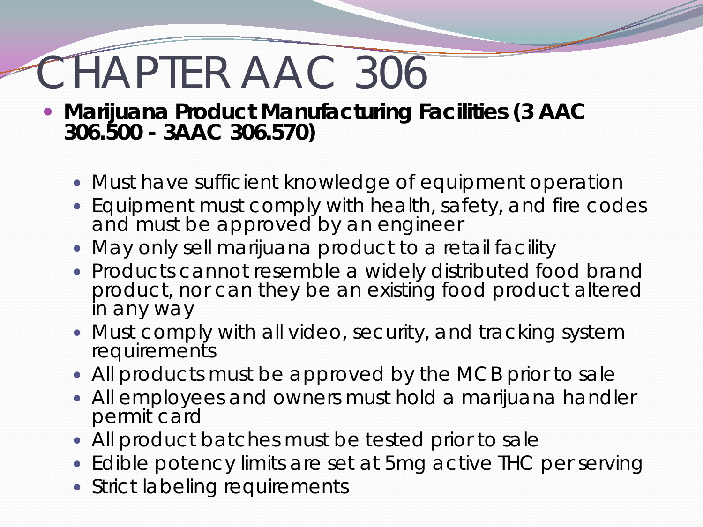- **Marijuana Product Manufacturing Facilities (3 AAC 306.500 - 3AAC 306.570)** 
	- Must have sufficient knowledge of equipment operation
	- Equipment must comply with health, safety, and fire codes and must be approved by an engineer
	- May only sell marijuana product to a retail facility
	- Products cannot resemble a widely distributed food brand product, nor can they be an existing food product altered in any way
	- Must comply with all video, security, and tracking system requirements
	- All products must be approved by the MCB prior to sale
	- All employees and owners must hold a marijuana handler permit card
	- All product batches must be tested prior to sale
	- Edible potency limits are set at 5mg active THC per serving
	- Strict labeling requirements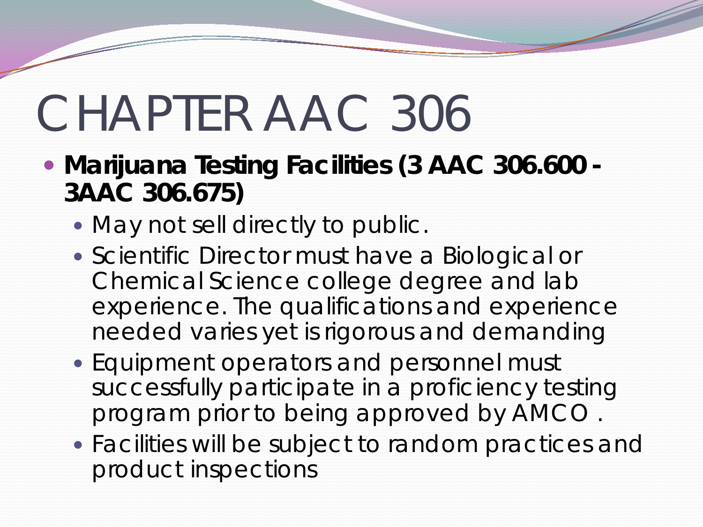- **Marijuana Testing Facilities (3 AAC 306.600 - 3AAC 306.675)** 
	- May not sell directly to public.
	- Scientific Director must have a Biological or Chemical Science college degree and lab experience. The qualifications and experience needed varies yet is rigorous and demanding
	- Equipment operators and personnel must successfully participate in a proficiency testing program prior to being approved by AMCO .
	- Facilities will be subject to random practices and product inspections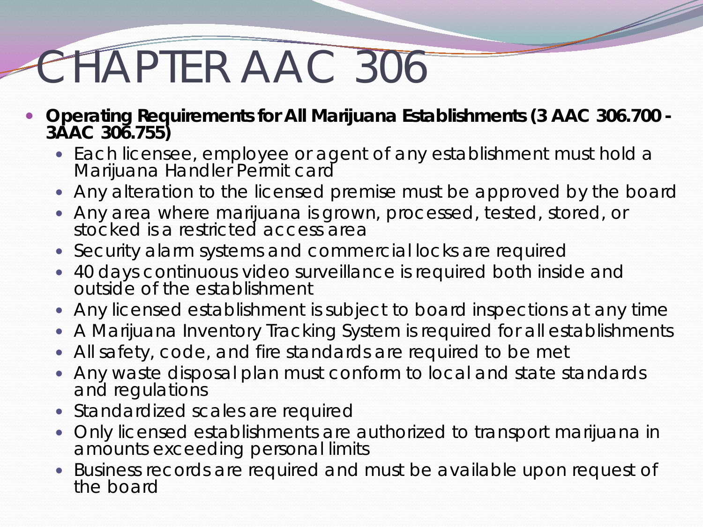- **Operating Requirements for All Marijuana Establishments (3 AAC 306.700 - 3AAC 306.755)** 
	- Each licensee, employee or agent of any establishment must hold a Marijuana Handler Permit card
	- Any alteration to the licensed premise must be approved by the board
	- Any area where marijuana is grown, processed, tested, stored, or stocked is a restricted access area
	- Security alarm systems and commercial locks are required
	- 40 days continuous video surveillance is required both inside and outside of the establishment
	- Any licensed establishment is subject to board inspections at any time
	- A Marijuana Inventory Tracking System is required for all establishments
	- All safety, code, and fire standards are required to be met
	- Any waste disposal plan must conform to local and state standards and regulations
	- Standardized scales are required
	- Only licensed establishments are authorized to transport marijuana in amounts exceeding personal limits
	- Business records are required and must be available upon request of the board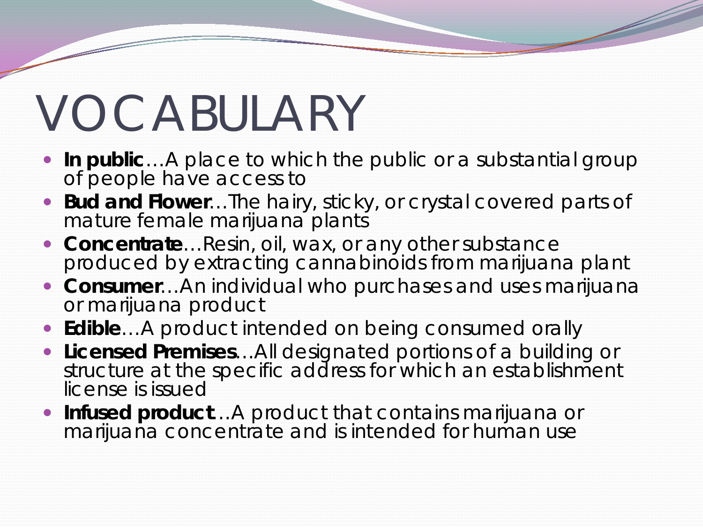# VOCABULARY

- **In public**... A place to which the public or a substantial group of people have access to
- **Bud and Flower**…The hairy, sticky, or crystal covered parts of mature female marijuana plants
- **Concentrate**…Resin, oil, wax, or any other substance produced by extracting cannabinoids from marijuana plant
- **Consumer**…An individual who purchases and uses marijuana or marijuana product
- **Edible**…A product intended on being consumed orally
- **Licensed Premises**…All designated portions of a building or structure at the specific address for which an establishment license is issued
- **Infused product**…A product that contains marijuana or marijuana concentrate and is intended for human use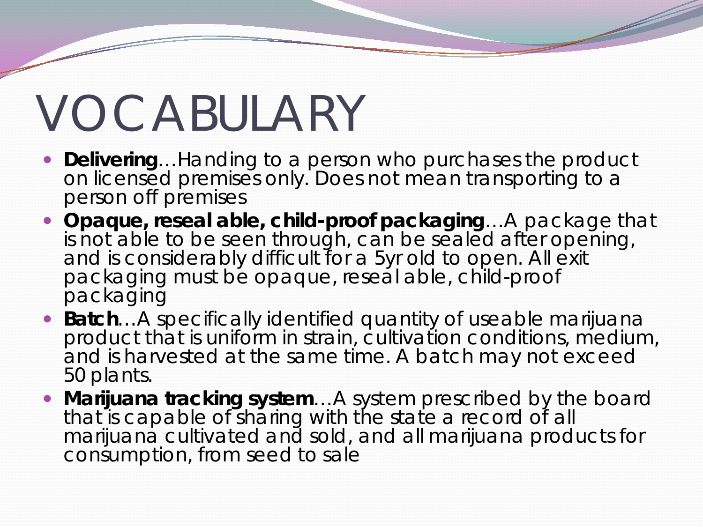## VOCABULARY

- **Delivering**…Handing to a person who purchases the product on licensed premises only. Does not mean transporting to a person off premises
- **Opaque, reseal able, child-proof packaging**…A package that is not able to be seen through, can be sealed after opening, and is considerably difficult for a 5yr old to open. All exit packaging must be opaque, reseal able, child-proof packaging
- **Batch**…A specifically identified quantity of useable marijuana product that is uniform in strain, cultivation conditions, medium, and is harvested at the same time. A batch may not exceed 50 plants.
- **Marijuana tracking system**…A system prescribed by the board that is capable of sharing with the state a record of all marijuana cultivated and sold, and all marijuana products for consumption, from seed to sale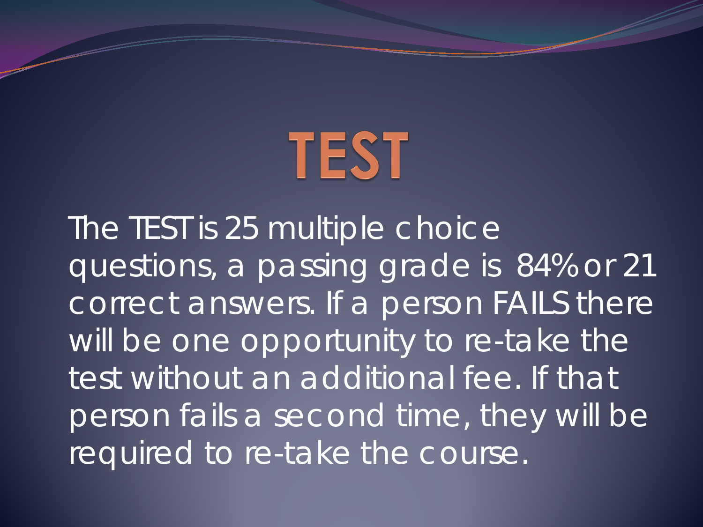

The TEST is 25 multiple choice questions, a passing grade is 84% or 21 correct answers. If a person FAILS there will be one opportunity to re-take the test without an additional fee. If that person fails a second time, they will be required to re-take the course.